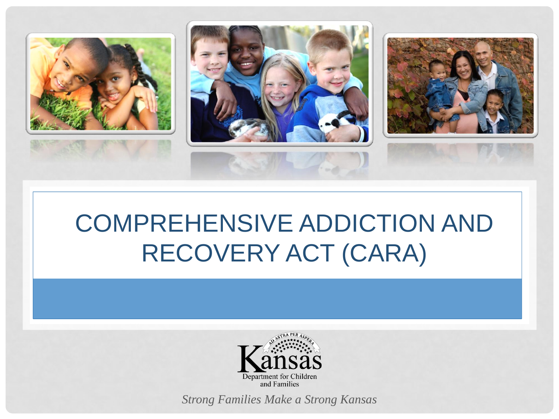

### COMPREHENSIVE ADDICTION AND RECOVERY ACT (CARA)

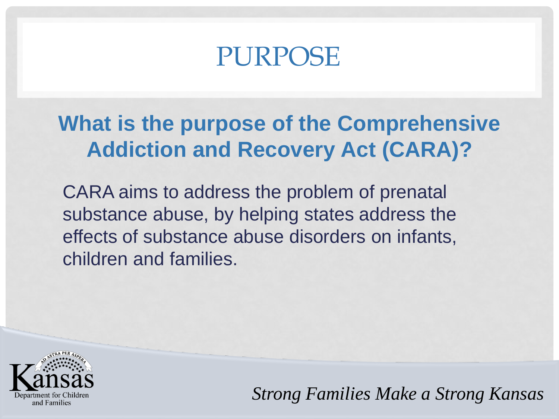### PURPOSE

#### **What is the purpose of the Comprehensive Addiction and Recovery Act (CARA)?**

CARA aims to address the problem of prenatal substance abuse, by helping states address the effects of substance abuse disorders on infants, children and families.

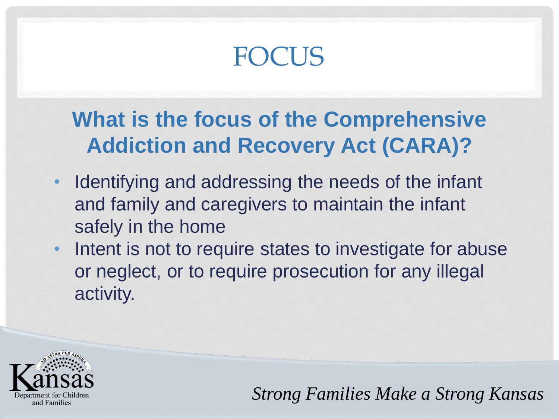## **FOCUS**

#### **What is the focus of the Comprehensive Addiction and Recovery Act (CARA)?**

- Identifying and addressing the needs of the infant and family and caregivers to maintain the infant safely in the home
- Intent is not to require states to investigate for abuse or neglect, or to require prosecution for any illegal activity.

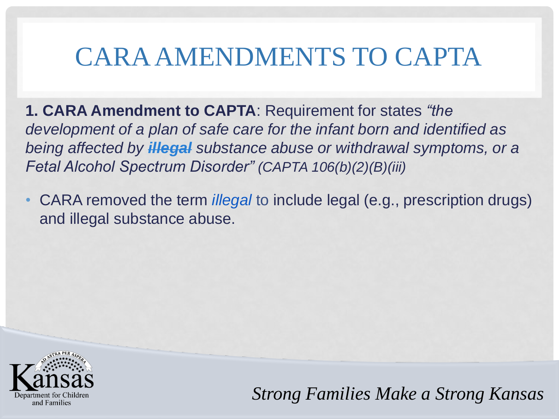### CARA AMENDMENTS TO CAPTA

**1. CARA Amendment to CAPTA**: Requirement for states *"the development of a plan of safe care for the infant born and identified as being affected by illegal substance abuse or withdrawal symptoms, or a Fetal Alcohol Spectrum Disorder" (CAPTA 106(b)(2)(B)(iii)*

• CARA removed the term *illegal* to include legal (e.g., prescription drugs) and illegal substance abuse.

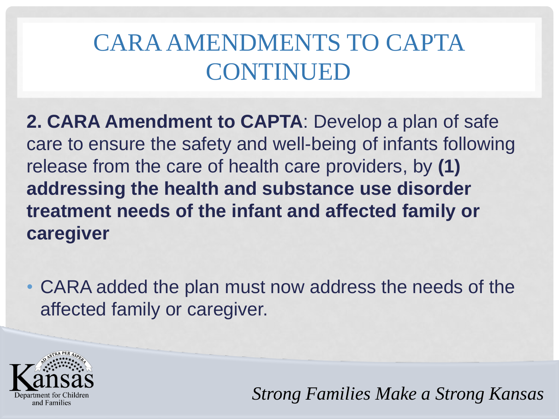#### CARAAMENDMENTS TO CAPTA CONTINUED

**2. CARA Amendment to CAPTA**: Develop a plan of safe care to ensure the safety and well-being of infants following release from the care of health care providers, by **(1) addressing the health and substance use disorder treatment needs of the infant and affected family or caregiver**

• CARA added the plan must now address the needs of the affected family or caregiver.

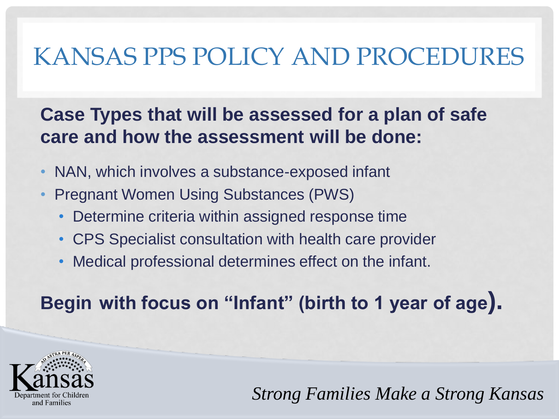#### KANSAS PPS POLICY AND PROCEDURES

#### **Case Types that will be assessed for a plan of safe care and how the assessment will be done:**

- NAN, which involves a substance-exposed infant
- Pregnant Women Using Substances (PWS)
	- Determine criteria within assigned response time
	- CPS Specialist consultation with health care provider
	- Medical professional determines effect on the infant.

**Begin with focus on "Infant" (birth to 1 year of age).**

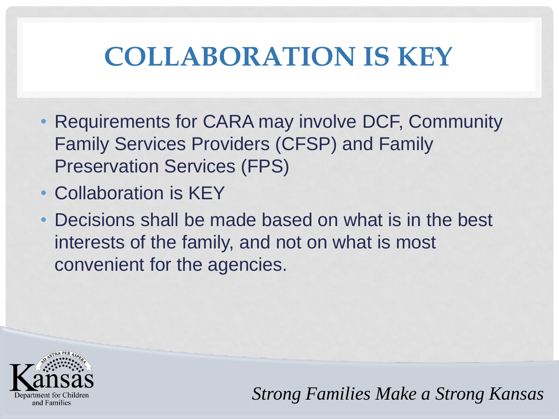# **COLLABORATION IS KEY**

- Requirements for CARA may involve DCF, Community Family Services Providers (CFSP) and Family Preservation Services (FPS)
- Collaboration is KEY
- Decisions shall be made based on what is in the best interests of the family, and not on what is most convenient for the agencies.